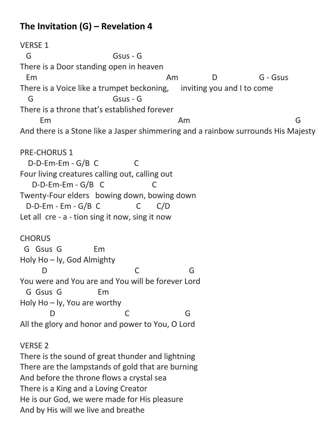## **The Invitation (G) – Revelation 4**

VERSE 1 G Gsus - G There is a Door standing open in heaven Em Am D G-Gsus There is a Voice like a trumpet beckoning, inviting you and I to come G GSus - G There is a throne that's established forever Em Am Am G And there is a Stone like a Jasper shimmering and a rainbow surrounds His Majesty PRE-CHORUS 1 D-D-Em-Em - G/B C C Four living creatures calling out, calling out D-D-Em-Em - G/B C C Twenty-Four elders bowing down, bowing down D-D-Em - Em - G/B C C C/D Let all cre - a - tion sing it now, sing it now **CHORUS**  G Gsus G Em Holy Ho – ly, God Almighty D C G You were and You are and You will be forever Lord G Gsus G Em Holy Ho – ly, You are worthy D C G All the glory and honor and power to You, O Lord VERSE 2 There is the sound of great thunder and lightning

There are the lampstands of gold that are burning And before the throne flows a crystal sea There is a King and a Loving Creator He is our God, we were made for His pleasure And by His will we live and breathe